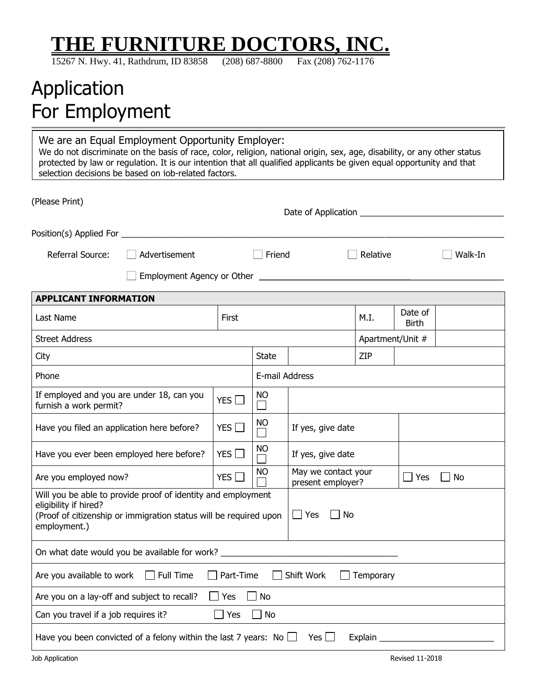# **THE FURNITURE DOCTORS, INC.**

15267 N. Hwy. 41, Rathdrum, ID 83858 (208) 687-8800 Fax (208) 762-1176

## Application For Employment

We are an Equal Employment Opportunity Employer: We do not discriminate on the basis of race, color, religion, national origin, sex, age, disability, or any other status protected by law or regulation. It is our intention that all qualified applicants be given equal opportunity and that selection decisions be based on job-related factors.

| (Please Print)                                                                                                                                                             |                                          |            |                         |                                                              |                  |                         |         |  |
|----------------------------------------------------------------------------------------------------------------------------------------------------------------------------|------------------------------------------|------------|-------------------------|--------------------------------------------------------------|------------------|-------------------------|---------|--|
|                                                                                                                                                                            |                                          |            |                         |                                                              |                  |                         |         |  |
| Referral Source:<br>Advertisement                                                                                                                                          |                                          |            | Friend                  |                                                              | Relative         |                         | Walk-In |  |
|                                                                                                                                                                            |                                          |            |                         |                                                              |                  |                         |         |  |
| <b>APPLICANT INFORMATION</b>                                                                                                                                               |                                          |            |                         |                                                              |                  |                         |         |  |
| Last Name<br>First                                                                                                                                                         |                                          |            |                         |                                                              | M.I.             | Date of<br><b>Birth</b> |         |  |
| <b>Street Address</b>                                                                                                                                                      |                                          |            |                         |                                                              | Apartment/Unit # |                         |         |  |
| City                                                                                                                                                                       |                                          |            | <b>State</b>            |                                                              | <b>ZIP</b>       |                         |         |  |
| Phone                                                                                                                                                                      |                                          |            |                         | E-mail Address                                               |                  |                         |         |  |
| If employed and you are under 18, can you<br>YES<br>furnish a work permit?                                                                                                 |                                          |            | <b>NO</b><br>$\Box$     |                                                              |                  |                         |         |  |
| YES<br>Have you filed an application here before?                                                                                                                          |                                          |            | <sub>NO</sub><br>$\Box$ | If yes, give date                                            |                  |                         |         |  |
|                                                                                                                                                                            | Have you ever been employed here before? | YES $\Box$ | <b>NO</b>               | If yes, give date                                            |                  |                         |         |  |
| Are you employed now?                                                                                                                                                      |                                          | YES $\Box$ | <b>NO</b>               | May we contact your<br>$\Box$ Yes<br>No<br>present employer? |                  |                         |         |  |
| Will you be able to provide proof of identity and employment<br>eligibility if hired?<br>(Proof of citizenship or immigration status will be required upon<br>employment.) |                                          |            |                         | $\Box$ Yes<br>No                                             |                  |                         |         |  |
| On what date would you be available for work? __________________________________                                                                                           |                                          |            |                         |                                                              |                  |                         |         |  |
| Are you available to work Full Time<br>$\Box$ Part-Time<br>Shift Work<br>Temporary                                                                                         |                                          |            |                         |                                                              |                  |                         |         |  |
| Are you on a lay-off and subject to recall?                                                                                                                                | $\Box$ No                                |            |                         |                                                              |                  |                         |         |  |
| Can you travel if a job requires it?<br>Yes                                                                                                                                |                                          |            | No                      |                                                              |                  |                         |         |  |
| Have you been convicted of a felony within the last 7 years: No $\Box$<br>Yes $\Box$<br>Explain                                                                            |                                          |            |                         |                                                              |                  |                         |         |  |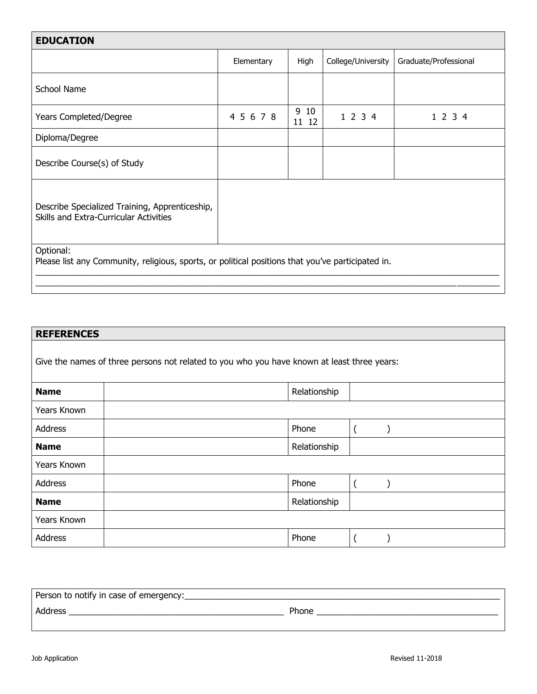| <b>EDUCATION</b>                                                                                               |            |              |                    |                       |  |
|----------------------------------------------------------------------------------------------------------------|------------|--------------|--------------------|-----------------------|--|
|                                                                                                                | Elementary | High         | College/University | Graduate/Professional |  |
| School Name                                                                                                    |            |              |                    |                       |  |
| <b>Years Completed/Degree</b>                                                                                  | 4 5 6 7 8  | 910<br>11 12 | 1 2 3 4            | 1 2 3 4               |  |
| Diploma/Degree                                                                                                 |            |              |                    |                       |  |
| Describe Course(s) of Study                                                                                    |            |              |                    |                       |  |
| Describe Specialized Training, Apprenticeship,<br>Skills and Extra-Curricular Activities                       |            |              |                    |                       |  |
| Optional:<br>Please list any Community, religious, sports, or political positions that you've participated in. |            |              |                    |                       |  |

| <b>REFERENCES</b> |                                                                                             |  |
|-------------------|---------------------------------------------------------------------------------------------|--|
|                   | Give the names of three persons not related to you who you have known at least three years: |  |
| <b>Name</b>       | Relationship                                                                                |  |
| Years Known       |                                                                                             |  |
| Address           | Phone                                                                                       |  |
| <b>Name</b>       | Relationship                                                                                |  |
| Years Known       |                                                                                             |  |
| Address           | Phone                                                                                       |  |
| <b>Name</b>       | Relationship                                                                                |  |
| Years Known       |                                                                                             |  |
| Address           | Phone                                                                                       |  |

| Person to notify in case of emergency: |       |
|----------------------------------------|-------|
| Address                                | Phone |
|                                        |       |

 $\overline{\phantom{a}}$  , where  $\overline{\phantom{a}}$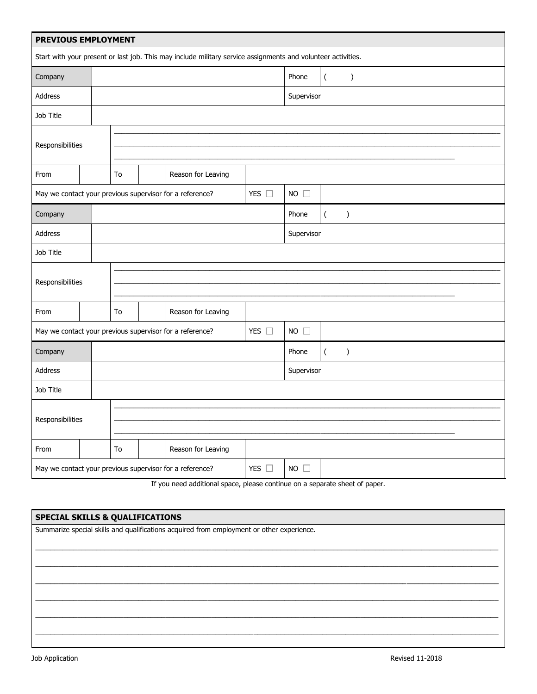| PREVIOUS EMPLOYMENT                                      |  |                                                                           |               |                                                                                                              |               |                |                          |               |
|----------------------------------------------------------|--|---------------------------------------------------------------------------|---------------|--------------------------------------------------------------------------------------------------------------|---------------|----------------|--------------------------|---------------|
|                                                          |  |                                                                           |               | Start with your present or last job. This may include military service assignments and volunteer activities. |               |                |                          |               |
| Company                                                  |  |                                                                           |               |                                                                                                              |               | Phone          | $\overline{\phantom{a}}$ | $\mathcal{E}$ |
| Address                                                  |  |                                                                           |               |                                                                                                              |               | Supervisor     |                          |               |
| Job Title                                                |  |                                                                           |               |                                                                                                              |               |                |                          |               |
|                                                          |  |                                                                           |               |                                                                                                              |               |                |                          |               |
| Responsibilities                                         |  |                                                                           |               |                                                                                                              |               |                |                          |               |
| From                                                     |  | Reason for Leaving<br>To                                                  |               |                                                                                                              |               |                |                          |               |
|                                                          |  | YES $\square$<br>May we contact your previous supervisor for a reference? |               |                                                                                                              | $NO$ $\Box$   |                |                          |               |
| Company                                                  |  |                                                                           |               |                                                                                                              |               | Phone          | $\overline{(\ }$         | $\mathcal{E}$ |
| Address                                                  |  |                                                                           |               |                                                                                                              |               | Supervisor     |                          |               |
| Job Title                                                |  |                                                                           |               |                                                                                                              |               |                |                          |               |
|                                                          |  |                                                                           |               |                                                                                                              |               |                |                          |               |
| Responsibilities                                         |  |                                                                           |               |                                                                                                              |               |                |                          |               |
| From                                                     |  | To                                                                        |               | Reason for Leaving                                                                                           |               |                |                          |               |
|                                                          |  |                                                                           |               | May we contact your previous supervisor for a reference?                                                     | YES $\square$ | $NO$ $\square$ |                          |               |
| Company                                                  |  |                                                                           |               |                                                                                                              |               | Phone          | $\overline{(\ }$         | $\mathcal{C}$ |
| Address                                                  |  |                                                                           |               |                                                                                                              |               | Supervisor     |                          |               |
| Job Title                                                |  |                                                                           |               |                                                                                                              |               |                |                          |               |
|                                                          |  |                                                                           |               |                                                                                                              |               |                |                          |               |
| Responsibilities                                         |  |                                                                           |               |                                                                                                              |               |                |                          |               |
| From                                                     |  | To                                                                        |               | Reason for Leaving                                                                                           |               |                |                          |               |
| May we contact your previous supervisor for a reference? |  |                                                                           | YES $\square$ | $NO$ $\Box$                                                                                                  |               |                |                          |               |
|                                                          |  |                                                                           |               | If you need additional space, please continue on a separate sheet of paper.                                  |               |                |                          |               |

**SPECIAL SKILLS & QUALIFICATIONS** Summarize special skills and qualifications acquired from employment or other experience.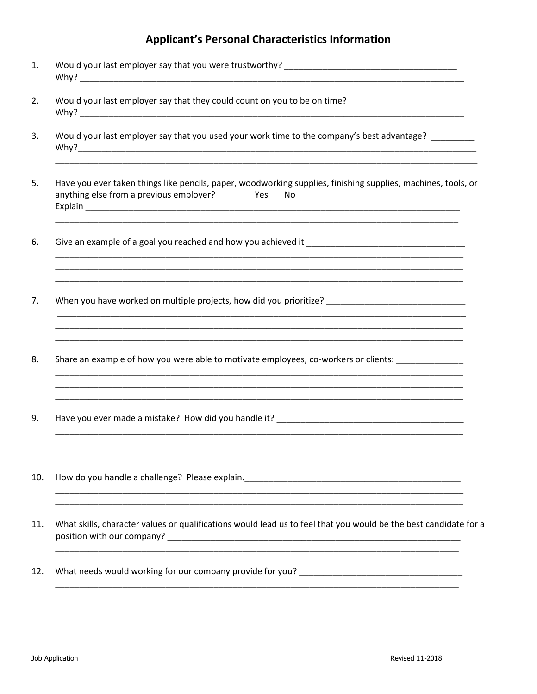### **Applicant's Personal Characteristics Information**

| 1.  |                                                                                                                                                                                                                                                                                                          |
|-----|----------------------------------------------------------------------------------------------------------------------------------------------------------------------------------------------------------------------------------------------------------------------------------------------------------|
| 2.  |                                                                                                                                                                                                                                                                                                          |
| 3.  | Would your last employer say that you used your work time to the company's best advantage?                                                                                                                                                                                                               |
| 5.  | Have you ever taken things like pencils, paper, woodworking supplies, finishing supplies, machines, tools, or<br>anything else from a previous employer?<br><b>Press</b><br>No<br><u> 1980 - An Dùbhlachd ann an Dùbhlachd ann an Dùbhlachd ann an Dùbhlachd ann an Dùbhlachd ann an Dùbhlachd ann a</u> |
| 6.  | Give an example of a goal you reached and how you achieved it                                                                                                                                                                                                                                            |
| 7.  | When you have worked on multiple projects, how did you prioritize? _________________________________                                                                                                                                                                                                     |
| 8.  | Share an example of how you were able to motivate employees, co-workers or clients: ______________                                                                                                                                                                                                       |
| 9.  |                                                                                                                                                                                                                                                                                                          |
| 10. | <u> 1999 - Johann Stein, mars and de Britannich (b. 1989)</u>                                                                                                                                                                                                                                            |
| 11. | What skills, character values or qualifications would lead us to feel that you would be the best candidate for a                                                                                                                                                                                         |
| 12. |                                                                                                                                                                                                                                                                                                          |
|     |                                                                                                                                                                                                                                                                                                          |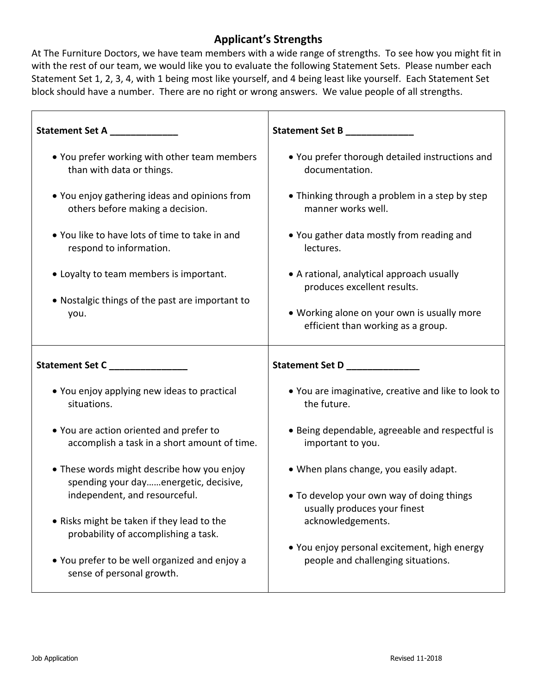### **Applicant's Strengths**

At The Furniture Doctors, we have team members with a wide range of strengths. To see how you might fit in with the rest of our team, we would like you to evaluate the following Statement Sets. Please number each Statement Set 1, 2, 3, 4, with 1 being most like yourself, and 4 being least like yourself. Each Statement Set block should have a number. There are no right or wrong answers. We value people of all strengths.

| Statement Set A __________                                                          | Statement Set B ____________                                              |
|-------------------------------------------------------------------------------------|---------------------------------------------------------------------------|
| • You prefer working with other team members                                        | . You prefer thorough detailed instructions and                           |
| than with data or things.                                                           | documentation.                                                            |
| • You enjoy gathering ideas and opinions from                                       | • Thinking through a problem in a step by step                            |
| others before making a decision.                                                    | manner works well.                                                        |
| • You like to have lots of time to take in and                                      | • You gather data mostly from reading and                                 |
| respond to information.                                                             | lectures.                                                                 |
| • Loyalty to team members is important.                                             | • A rational, analytical approach usually<br>produces excellent results.  |
| • Nostalgic things of the past are important to                                     | . Working alone on your own is usually more                               |
| you.                                                                                | efficient than working as a group.                                        |
|                                                                                     |                                                                           |
| Statement Set C <sub>_________________</sub>                                        | Statement Set D<br><u>________________</u>                                |
| • You enjoy applying new ideas to practical                                         | . You are imaginative, creative and like to look to                       |
| situations.                                                                         | the future.                                                               |
| • You are action oriented and prefer to                                             | • Being dependable, agreeable and respectful is                           |
| accomplish a task in a short amount of time.                                        | important to you.                                                         |
| • These words might describe how you enjoy<br>spending your dayenergetic, decisive, | • When plans change, you easily adapt.                                    |
| independent, and resourceful.                                                       | . To develop your own way of doing things<br>usually produces your finest |
| • Risks might be taken if they lead to the                                          | acknowledgements.                                                         |
| probability of accomplishing a task.                                                | • You enjoy personal excitement, high energy                              |